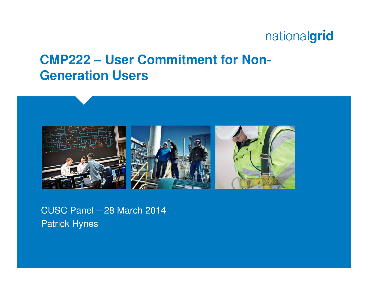#### **CMP222 – User Commitment for Non-Generation Users**



CUSC Panel – 28 March 2014Patrick Hynes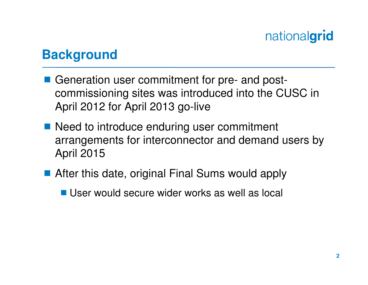#### **Background**

- Generation user commitment for pre- and post-<br>Commissioning sites was introduced into the CI commissioning sites was introduced into the CUSC in April 2012 for April 2013 go-live
- Need to introduce enduring user commitment arrangements for interconnector and demand users by April 2015
- After this date, original Final Sums would apply
	- User would secure wider works as well as local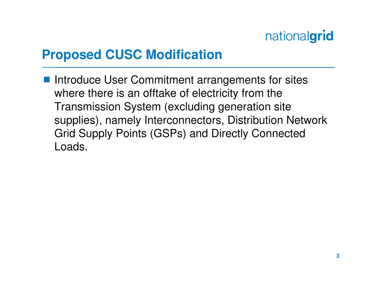## **Proposed CUSC Modification**

 Introduce User Commitment arrangements for sites where there is an offtake of electricity from the Transmission System (excluding generation site supplies), namely Interconnectors, Distribution Network Grid Supply Points (GSPs) and Directly Connected Loads.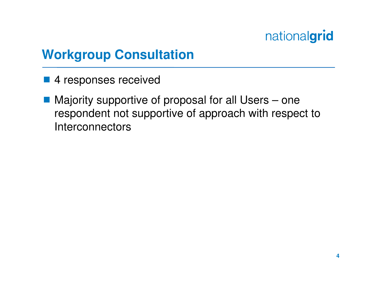## **Workgroup Consultation**

- 4 responses received
- Majority supportive of proposal for all Users one respondent not supportive of approach with respect to **Interconnectors**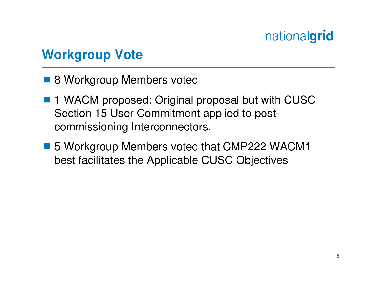## **Workgroup Vote**

- 8 Workgroup Members voted
- 1 WACM proposed: Original proposal but with CUSC<br>Section 15 User Commitment applied to pest Section 15 User Commitment applied to postcommissioning Interconnectors.
- 5 Workgroup Members voted that CMP222 WACM1<br>bost facilitates the Applicable CUSC Objectives best facilitates the Applicable CUSC Objectives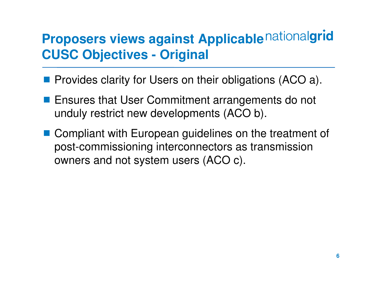## **Proposers views against Applicable nationalgrid CUSC Objectives - Original**

- **Provides clarity for Users on their obligations (ACO a).**
- **Ensures that User Commitment arrangements do not** unduly restrict new developments (ACO b).
- Compliant with European guidelines on the treatment of post commissioning interconnectors as transmission post-commissioning interconnectors as transmission owners and not system users (ACO c).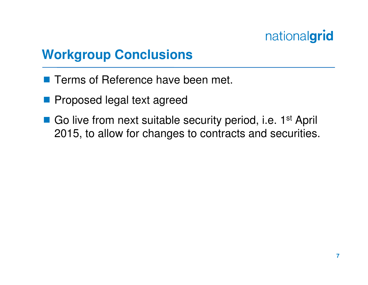## **Workgroup Conclusions**

- **Terms of Reference have been met.**
- **Proposed legal text agreed**
- Go live from next suitable security period, i.e. 1<sup>st</sup> April<br>2015 to allow for changes to contracts and socurition 2015, to allow for changes to contracts and securities.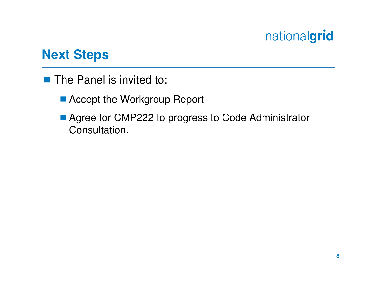#### **Next Steps**

- The Panel is invited to:
	- Accept the Workgroup Report
	- Agree for CMP222 to progress to Code Administrator Consultation.